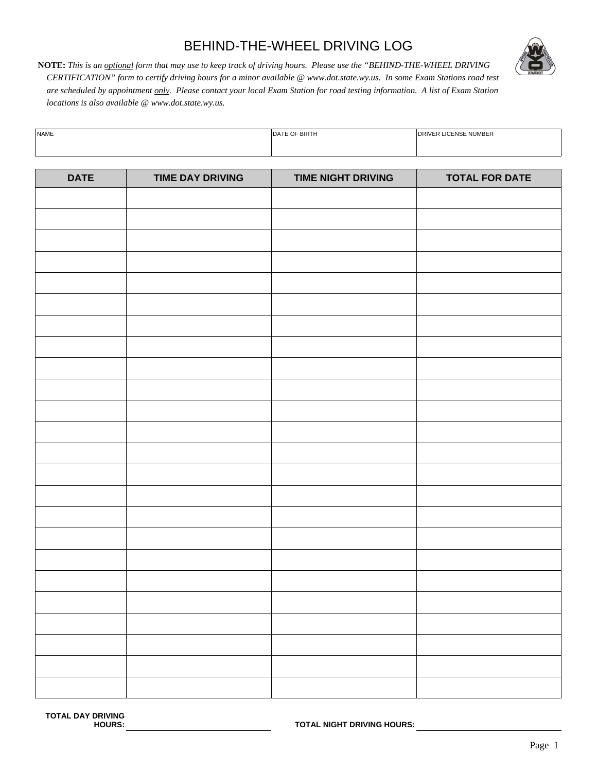## BEHIND-THE-WHEEL DRIVING LOG



**NOTE:** *This is an optional form that may use to keep track of driving hours. Please use the "BEHIND-THE-WHEEL DRIVING CERTIFICATION" form to certify driving hours for a minor available @ www.dot.state.wy.us. In some Exam Stations road test are scheduled by appointment only. Please contact your local Exam Station for road testing information. A list of Exam Station locations is also available @ www.dot.state.wy.us.* 

| <b>NAME</b> | F OF BIRTH<br><b>DATE</b> | <b>DRIVER LICENSE NUMBER</b> |
|-------------|---------------------------|------------------------------|
|             |                           |                              |

| <b>DATE</b> | <b>TIME DAY DRIVING</b> | <b>TIME NIGHT DRIVING</b> | <b>TOTAL FOR DATE</b> |
|-------------|-------------------------|---------------------------|-----------------------|
|             |                         |                           |                       |
|             |                         |                           |                       |
|             |                         |                           |                       |
|             |                         |                           |                       |
|             |                         |                           |                       |
|             |                         |                           |                       |
|             |                         |                           |                       |
|             |                         |                           |                       |
|             |                         |                           |                       |
|             |                         |                           |                       |
|             |                         |                           |                       |
|             |                         |                           |                       |
|             |                         |                           |                       |
|             |                         |                           |                       |
|             |                         |                           |                       |
|             |                         |                           |                       |
|             |                         |                           |                       |
|             |                         |                           |                       |
|             |                         |                           |                       |
|             |                         |                           |                       |
|             |                         |                           |                       |
|             |                         |                           |                       |
|             |                         |                           |                       |
|             |                         |                           |                       |
|             |                         |                           |                       |
|             |                         |                           |                       |

**TOTAL NIGHT DRIVING HOURS:**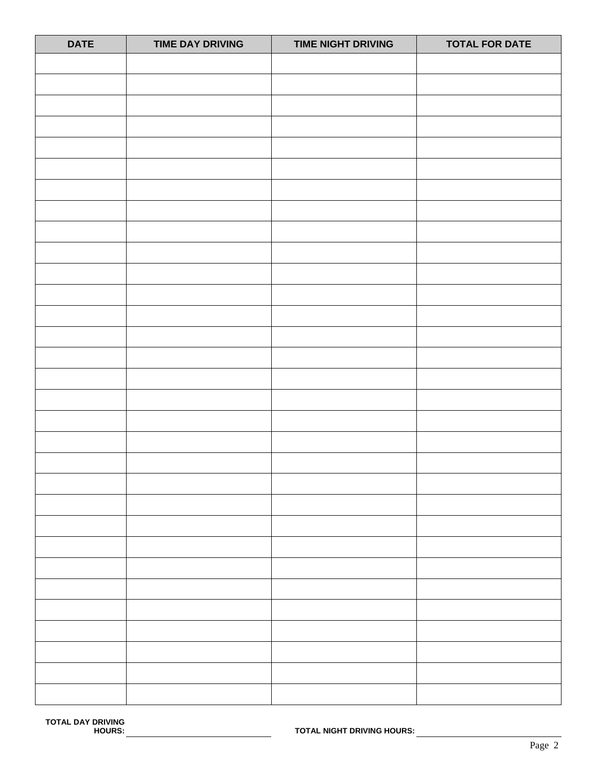| <b>DATE</b> | <b>TIME DAY DRIVING</b> | <b>TIME NIGHT DRIVING</b> | <b>TOTAL FOR DATE</b> |
|-------------|-------------------------|---------------------------|-----------------------|
|             |                         |                           |                       |
|             |                         |                           |                       |
|             |                         |                           |                       |
|             |                         |                           |                       |
|             |                         |                           |                       |
|             |                         |                           |                       |
|             |                         |                           |                       |
|             |                         |                           |                       |
|             |                         |                           |                       |
|             |                         |                           |                       |
|             |                         |                           |                       |
|             |                         |                           |                       |
|             |                         |                           |                       |
|             |                         |                           |                       |
|             |                         |                           |                       |
|             |                         |                           |                       |
|             |                         |                           |                       |
|             |                         |                           |                       |
|             |                         |                           |                       |
|             |                         |                           |                       |
|             |                         |                           |                       |
|             |                         |                           |                       |
|             |                         |                           |                       |
|             |                         |                           |                       |
|             |                         |                           |                       |
|             |                         |                           |                       |
|             |                         |                           |                       |
|             |                         |                           |                       |
|             |                         |                           |                       |
|             |                         |                           |                       |
|             |                         |                           |                       |
|             |                         |                           |                       |
|             |                         |                           |                       |